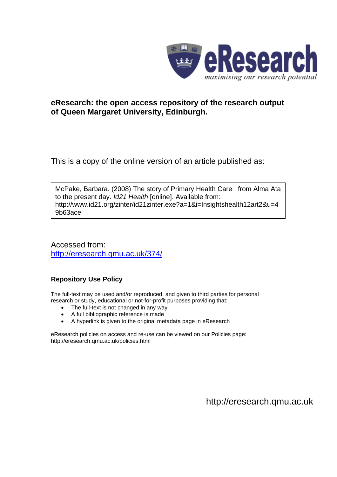

# **eResearch: the open access repository of the research output of Queen Margaret University, Edinburgh.**

This is a copy of the online version of an article published as:

McPake, Barbara. (2008) The story of Primary Health Care : from Alma Ata to the present day. *Id21 Health* [online]. Available from: http://www.id21.org/zinter/id21zinter.exe?a=1&i=Insightshealth12art2&u=4 9b63ace

Accessed from: <http://eresearch.qmu.ac.uk/374/>

# **Repository Use Policy**

The full-text may be used and/or reproduced, and given to third parties for personal research or study, educational or not-for-profit purposes providing that:

- The full-text is not changed in any way
- A full bibliographic reference is made
- A hyperlink is given to the original metadata page in eResearch

eResearch policies on access and re-use can be viewed on our Policies page: <http://eresearch.qmu.ac.uk/policies.html>

[http://eresearch.qmu.ac.uk](http://eresearch.qmu.ac.uk/)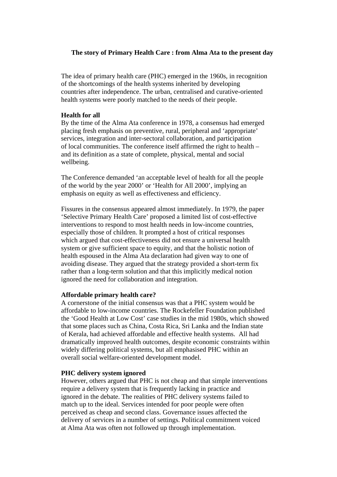## **The story of Primary Health Care : from Alma Ata to the present day**

 The idea of primary health care (PHC) emerged in the 1960s, in recognition of the shortcomings of the health systems inherited by developing countries after independence. The urban, centralised and curative-oriented health systems were poorly matched to the needs of their people.

### **Health for all**

 By the time of the Alma Ata conference in 1978, a consensus had emerged placing fresh emphasis on preventive, rural, peripheral and 'appropriate' services, integration and inter-sectoral collaboration, and participation of local communities. The conference itself affirmed the right to health – and its definition as a state of complete, physical, mental and social wellbeing.

 The Conference demanded 'an acceptable level of health for all the people of the world by the year 2000' or 'Health for All 2000', implying an emphasis on equity as well as effectiveness and efficiency.

 Fissures in the consensus appeared almost immediately. In 1979, the paper 'Selective Primary Health Care' proposed a limited list of cost-effective interventions to respond to most health needs in low-income countries, especially those of children. It prompted a host of critical responses which argued that cost-effectiveness did not ensure a universal health system or give sufficient space to equity, and that the holistic notion of health espoused in the Alma Ata declaration had given way to one of avoiding disease. They argued that the strategy provided a short-term fix rather than a long-term solution and that this implicitly medical notion ignored the need for collaboration and integration.

#### **Affordable primary health care?**

 A cornerstone of the initial consensus was that a PHC system would be affordable to low-income countries. The Rockefeller Foundation published the 'Good Health at Low Cost' case studies in the mid 1980s, which showed that some places such as China, Costa Rica, Sri Lanka and the Indian state of Kerala, had achieved affordable and effective health systems. All had dramatically improved health outcomes, despite economic constraints within widely differing political systems, but all emphasised PHC within an overall social welfare-oriented development model.

#### **PHC delivery system ignored**

 However, others argued that PHC is not cheap and that simple interventions require a delivery system that is frequently lacking in practice and ignored in the debate. The realities of PHC delivery systems failed to match up to the ideal. Services intended for poor people were often perceived as cheap and second class. Governance issues affected the delivery of services in a number of settings. Political commitment voiced at Alma Ata was often not followed up through implementation.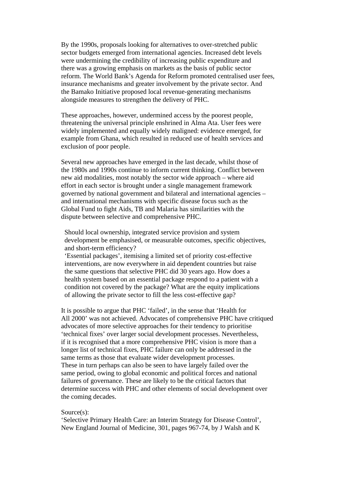By the 1990s, proposals looking for alternatives to over-stretched public sector budgets emerged from international agencies. Increased debt levels were undermining the credibility of increasing public expenditure and there was a growing emphasis on markets as the basis of public sector reform. The World Bank's Agenda for Reform promoted centralised user fees, insurance mechanisms and greater involvement by the private sector. And the Bamako Initiative proposed local revenue-generating mechanisms alongside measures to strengthen the delivery of PHC.

 These approaches, however, undermined access by the poorest people, threatening the universal principle enshrined in Alma Ata. User fees were widely implemented and equally widely maligned: evidence emerged, for example from Ghana, which resulted in reduced use of health services and exclusion of poor people.

 Several new approaches have emerged in the last decade, whilst those of the 1980s and 1990s continue to inform current thinking. Conflict between new aid modalities, most notably the sector wide approach – where aid effort in each sector is brought under a single management framework governed by national government and bilateral and international agencies – and international mechanisms with specific disease focus such as the Global Fund to fight Aids, TB and Malaria has similarities with the dispute between selective and comprehensive PHC.

 Should local ownership, integrated service provision and system development be emphasised, or measurable outcomes, specific objectives, and short-term efficiency?

 'Essential packages', itemising a limited set of priority cost-effective interventions, are now everywhere in aid dependent countries but raise the same questions that selective PHC did 30 years ago. How does a health system based on an essential package respond to a patient with a condition not covered by the package? What are the equity implications of allowing the private sector to fill the less cost-effective gap?

 It is possible to argue that PHC 'failed', in the sense that 'Health for All 2000' was not achieved. Advocates of comprehensive PHC have critiqued advocates of more selective approaches for their tendency to prioritise 'technical fixes' over larger social development processes. Nevertheless, if it is recognised that a more comprehensive PHC vision is more than a longer list of technical fixes, PHC failure can only be addressed in the same terms as those that evaluate wider development processes. These in turn perhaps can also be seen to have largely failed over the same period, owing to global economic and political forces and national failures of governance. These are likely to be the critical factors that determine success with PHC and other elements of social development over the coming decades.

### Source(s):

 'Selective Primary Health Care: an Interim Strategy for Disease Control', New England Journal of Medicine, 301, pages 967-74, by J Walsh and K